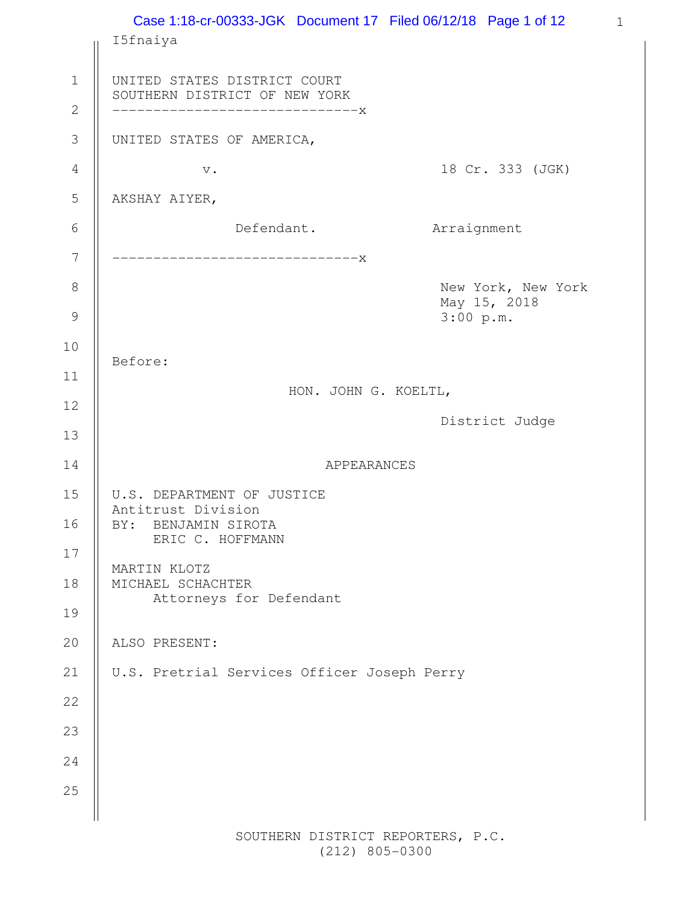|                             | Case 1:18-cr-00333-JGK Document 17 Filed 06/12/18 Page 1 of 12                                  | $\mathbf{1}$                       |  |
|-----------------------------|-------------------------------------------------------------------------------------------------|------------------------------------|--|
|                             | I5fnaiya                                                                                        |                                    |  |
| $\mathbf 1$<br>$\mathbf{2}$ | UNITED STATES DISTRICT COURT<br>SOUTHERN DISTRICT OF NEW YORK<br>-----------------------------X |                                    |  |
| $\mathfrak{Z}$              | UNITED STATES OF AMERICA,                                                                       |                                    |  |
| $\overline{4}$              | $\mathbf v$ .                                                                                   | 18 Cr. 333 (JGK)                   |  |
| 5                           | AKSHAY AIYER,                                                                                   |                                    |  |
| 6                           | Defendant.                                                                                      | Arraignment                        |  |
| $\overline{7}$              | -----------------------------X                                                                  |                                    |  |
| 8                           |                                                                                                 | New York, New York<br>May 15, 2018 |  |
| $\mathcal{G}$               |                                                                                                 | 3:00 p.m.                          |  |
| 10                          | Before:                                                                                         |                                    |  |
| 11                          | HON. JOHN G. KOELTL,                                                                            |                                    |  |
| 12                          |                                                                                                 | District Judge                     |  |
| 13                          |                                                                                                 |                                    |  |
| 14                          | APPEARANCES                                                                                     |                                    |  |
| 15<br>16                    | U.S. DEPARTMENT OF JUSTICE<br>Antitrust Division<br>BY: BENJAMIN SIROTA<br>ERIC C. HOFFMANN     |                                    |  |
| 17                          | MARTIN KLOTZ                                                                                    |                                    |  |
| 18                          | MICHAEL SCHACHTER<br>Attorneys for Defendant                                                    |                                    |  |
| 19                          |                                                                                                 |                                    |  |
| 20                          | ALSO PRESENT:                                                                                   |                                    |  |
| 21                          | U.S. Pretrial Services Officer Joseph Perry                                                     |                                    |  |
| 22                          |                                                                                                 |                                    |  |
| 23                          |                                                                                                 |                                    |  |
| 24                          |                                                                                                 |                                    |  |
| 25                          |                                                                                                 |                                    |  |
|                             |                                                                                                 |                                    |  |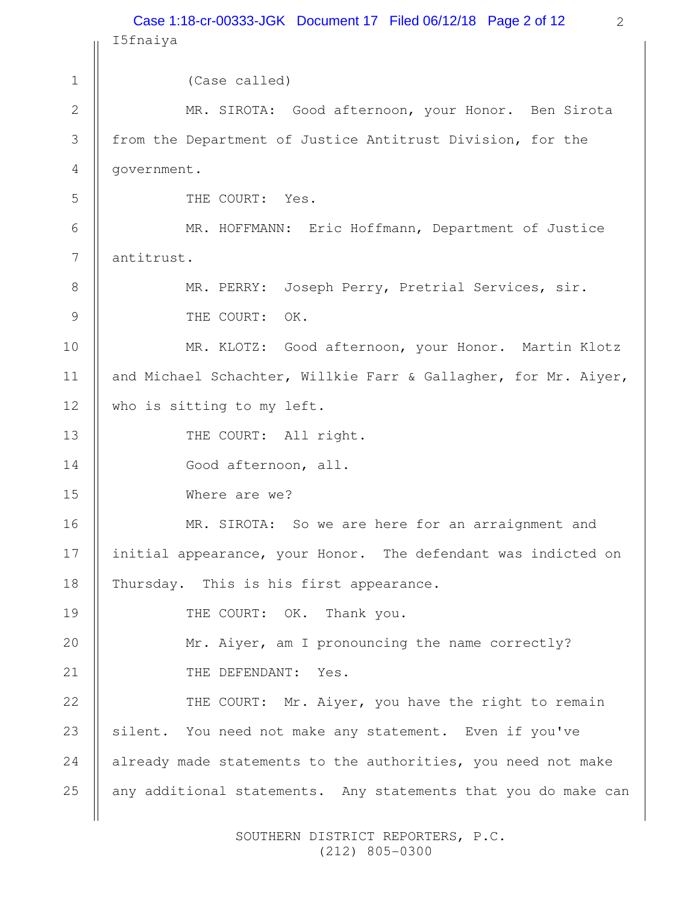2 I5fnaiya (Case called) MR. SIROTA: Good afternoon, your Honor. Ben Sirota from the Department of Justice Antitrust Division, for the government. THE COURT: Yes. MR. HOFFMANN: Eric Hoffmann, Department of Justice antitrust. MR. PERRY: Joseph Perry, Pretrial Services, sir. THE COURT: OK. MR. KLOTZ: Good afternoon, your Honor. Martin Klotz and Michael Schachter, Willkie Farr & Gallagher, for Mr. Aiyer, who is sitting to my left. THE COURT: All right. Good afternoon, all. Where are we? MR. SIROTA: So we are here for an arraignment and initial appearance, your Honor. The defendant was indicted on Thursday. This is his first appearance. THE COURT: OK. Thank you. Mr. Aiyer, am I pronouncing the name correctly? THE DEFENDANT: Yes. THE COURT: Mr. Aiyer, you have the right to remain silent. You need not make any statement. Even if you've already made statements to the authorities, you need not make any additional statements. Any statements that you do make can 1 2 3 4 5 6 7 8 9 10 11 12 13 14 15 16 17 18 19 20 21 22 23 24 25 Case 1:18-cr-00333-JGK Document 17 Filed 06/12/18 Page 2 of 12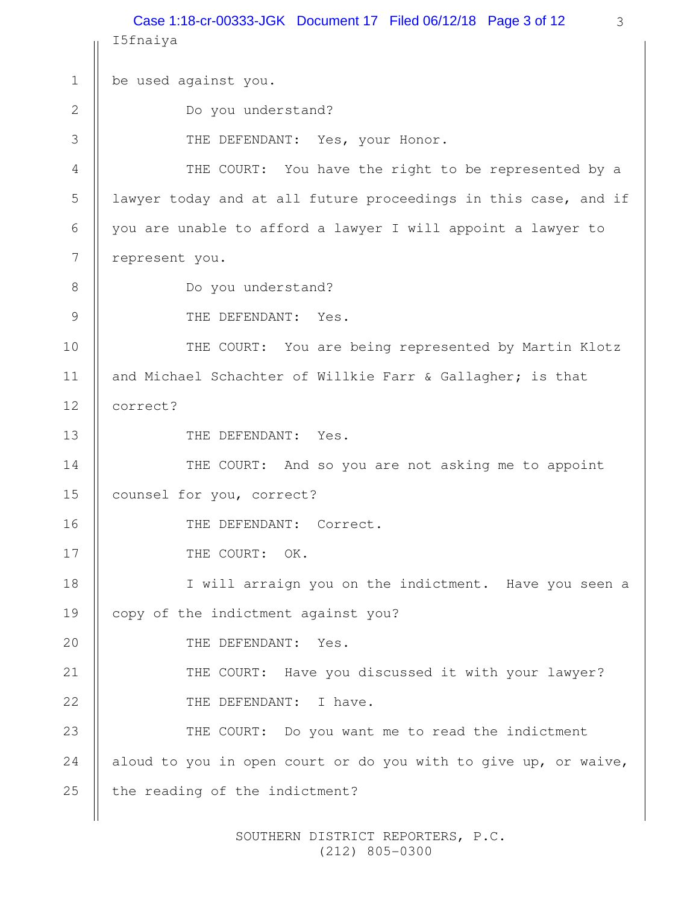3 I5fnaiya be used against you. Do you understand? THE DEFENDANT: Yes, your Honor. THE COURT: You have the right to be represented by a lawyer today and at all future proceedings in this case, and if you are unable to afford a lawyer I will appoint a lawyer to represent you. Do you understand? THE DEFENDANT: Yes. THE COURT: You are being represented by Martin Klotz and Michael Schachter of Willkie Farr & Gallagher; is that correct? THE DEFENDANT: Yes. THE COURT: And so you are not asking me to appoint counsel for you, correct? THE DEFENDANT: Correct. THE COURT: OK. I will arraign you on the indictment. Have you seen a copy of the indictment against you? THE DEFENDANT: Yes. THE COURT: Have you discussed it with your lawyer? THE DEFENDANT: I have. THE COURT: Do you want me to read the indictment aloud to you in open court or do you with to give up, or waive, the reading of the indictment? 1 2 3 4 5 6 7 8 9 10 11 12 13 14 15 16 17 18 19 20 21 22 23 24 25 Case 1:18-cr-00333-JGK Document 17 Filed 06/12/18 Page 3 of 12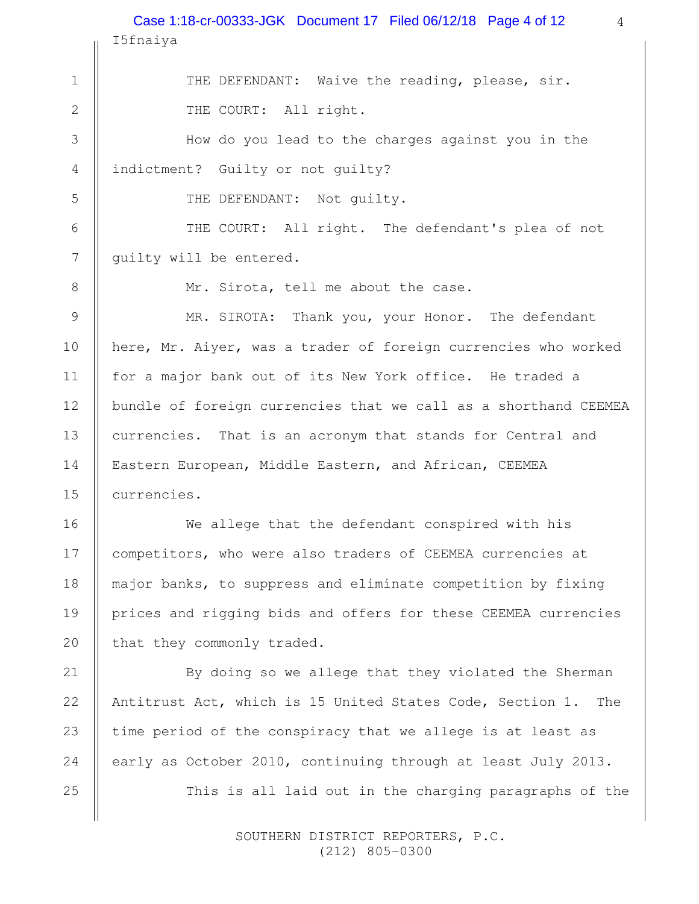I5fnaiya Case 1:18-cr-00333-JGK Document 17 Filed 06/12/18 Page 4 of 12

> THE DEFENDANT: Waive the reading, please, sir. THE COURT: All right.

4

How do you lead to the charges against you in the indictment? Guilty or not guilty?

THE DEFENDANT: Not guilty.

1

2

3

4

5

6

7

8

9

10

11

12

13

14

15

16

17

18

19

20

21

22

24

25

THE COURT: All right. The defendant's plea of not guilty will be entered.

Mr. Sirota, tell me about the case.

MR. SIROTA: Thank you, your Honor. The defendant here, Mr. Aiyer, was a trader of foreign currencies who worked for a major bank out of its New York office. He traded a bundle of foreign currencies that we call as a shorthand CEEMEA currencies. That is an acronym that stands for Central and Eastern European, Middle Eastern, and African, CEEMEA currencies.

We allege that the defendant conspired with his competitors, who were also traders of CEEMEA currencies at major banks, to suppress and eliminate competition by fixing prices and rigging bids and offers for these CEEMEA currencies that they commonly traded.

By doing so we allege that they violated the Sherman Antitrust Act, which is 15 United States Code, Section 1. The time period of the conspiracy that we allege is at least as early as October 2010, continuing through at least July 2013. This is all laid out in the charging paragraphs of the 23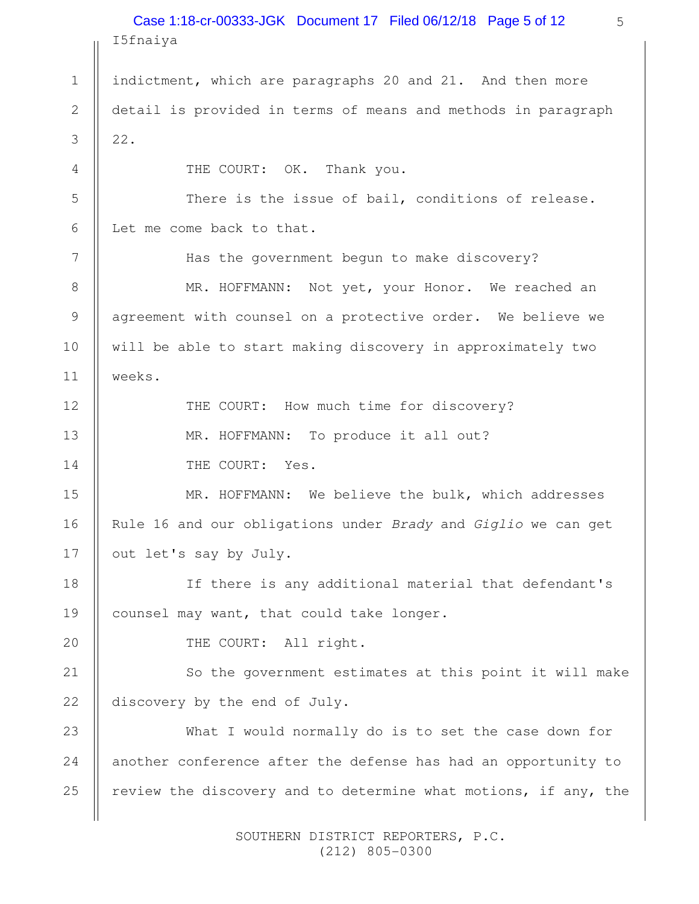|              | Case 1:18-cr-00333-JGK Document 17 Filed 06/12/18 Page 5 of 12<br>5<br>I5fnaiya |
|--------------|---------------------------------------------------------------------------------|
| $\mathbf 1$  | indictment, which are paragraphs 20 and 21. And then more                       |
|              |                                                                                 |
| $\mathbf{2}$ | detail is provided in terms of means and methods in paragraph                   |
| 3            | 22.                                                                             |
| 4            | THE COURT: OK. Thank you.                                                       |
| 5            | There is the issue of bail, conditions of release.                              |
| 6            | Let me come back to that.                                                       |
| 7            | Has the government begun to make discovery?                                     |
| 8            | MR. HOFFMANN: Not yet, your Honor. We reached an                                |
| $\mathsf 9$  | agreement with counsel on a protective order. We believe we                     |
| 10           | will be able to start making discovery in approximately two                     |
| 11           | weeks.                                                                          |
| 12           | THE COURT: How much time for discovery?                                         |
| 13           | MR. HOFFMANN: To produce it all out?                                            |
| 14           | THE COURT: Yes.                                                                 |
| 15           | MR. HOFFMANN: We believe the bulk, which addresses                              |
| 16           | Rule 16 and our obligations under Brady and Giglio we can get                   |
| 17           | out let's say by July.                                                          |
| 18           | If there is any additional material that defendant's                            |
| 19           | counsel may want, that could take longer.                                       |
| 20           | THE COURT: All right.                                                           |
| 21           | So the government estimates at this point it will make                          |
| 22           | discovery by the end of July.                                                   |
| 23           | What I would normally do is to set the case down for                            |
| 24           | another conference after the defense has had an opportunity to                  |
| 25           | review the discovery and to determine what motions, if any, the                 |
|              |                                                                                 |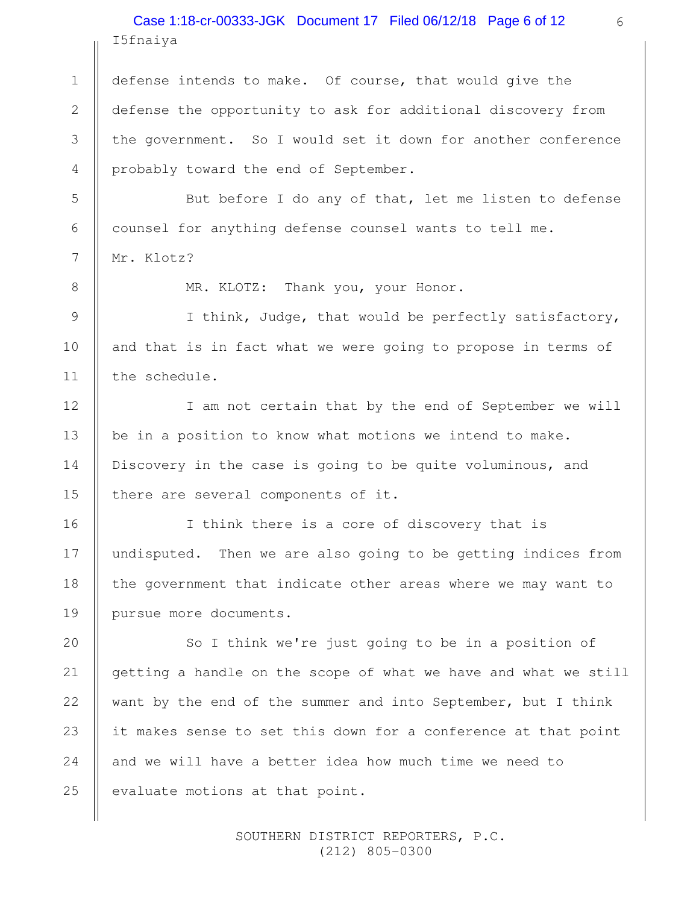I5fnaiya Case 1:18-cr-00333-JGK Document 17 Filed 06/12/18 Page 6 of 12

defense intends to make. Of course, that would give the defense the opportunity to ask for additional discovery from the government. So I would set it down for another conference probably toward the end of September.

But before I do any of that, let me listen to defense counsel for anything defense counsel wants to tell me. Mr. Klotz?

8

1

2

3

4

5

6

7

9

10

11

12

13

14

15

16

17

18

19

MR. KLOTZ: Thank you, your Honor.

I think, Judge, that would be perfectly satisfactory, and that is in fact what we were going to propose in terms of the schedule.

I am not certain that by the end of September we will be in a position to know what motions we intend to make. Discovery in the case is going to be quite voluminous, and there are several components of it.

I think there is a core of discovery that is undisputed. Then we are also going to be getting indices from the government that indicate other areas where we may want to pursue more documents.

So I think we're just going to be in a position of getting a handle on the scope of what we have and what we still want by the end of the summer and into September, but I think it makes sense to set this down for a conference at that point and we will have a better idea how much time we need to evaluate motions at that point. 20 21 22 23 24 25

> SOUTHERN DISTRICT REPORTERS, P.C. (212) 805-0300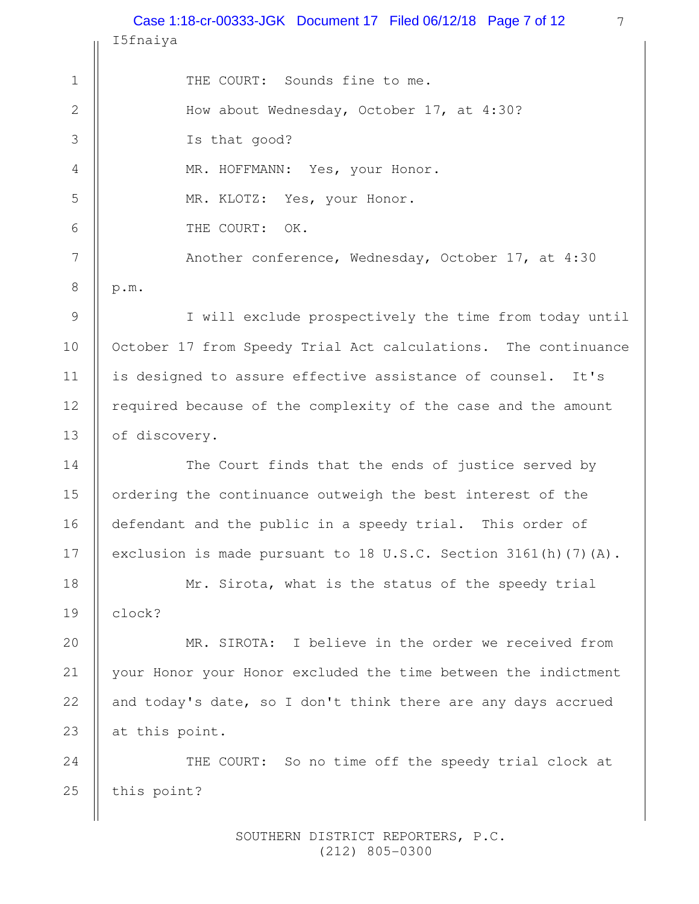I5fnaiya Case 1:18-cr-00333-JGK Document 17 Filed 06/12/18 Page 7 of 12

THE COURT: Sounds fine to me. How about Wednesday, October 17, at 4:30? Is that good? MR. HOFFMANN: Yes, your Honor. MR. KLOTZ: Yes, your Honor. THE COURT: OK. Another conference, Wednesday, October 17, at 4:30 p.m. I will exclude prospectively the time from today until 1 2 3 4 5 6 7 8 9

October 17 from Speedy Trial Act calculations. The continuance is designed to assure effective assistance of counsel. It's required because of the complexity of the case and the amount of discovery.

10

11

12

13

14

15

16

17

20

21

22

23

The Court finds that the ends of justice served by ordering the continuance outweigh the best interest of the defendant and the public in a speedy trial. This order of exclusion is made pursuant to 18 U.S.C. Section 3161(h)(7)(A).

Mr. Sirota, what is the status of the speedy trial clock? 18 19

MR. SIROTA: I believe in the order we received from your Honor your Honor excluded the time between the indictment and today's date, so I don't think there are any days accrued at this point.

THE COURT: So no time off the speedy trial clock at this point? 24 25

> SOUTHERN DISTRICT REPORTERS, P.C. (212) 805-0300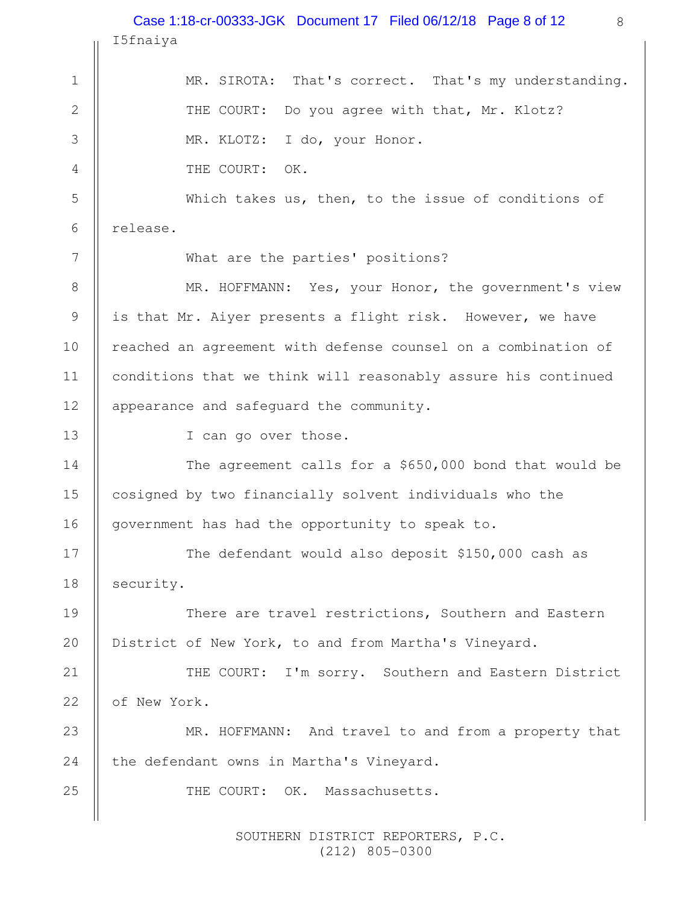|                | Case 1:18-cr-00333-JGK Document 17 Filed 06/12/18 Page 8 of 12<br>8 |  |  |
|----------------|---------------------------------------------------------------------|--|--|
|                | I5fnaiya                                                            |  |  |
| $\mathbf 1$    | MR. SIROTA: That's correct. That's my understanding.                |  |  |
| $\overline{2}$ | THE COURT: Do you agree with that, Mr. Klotz?                       |  |  |
| 3              | MR. KLOTZ: I do, your Honor.                                        |  |  |
| $\overline{4}$ | THE COURT: OK.                                                      |  |  |
| 5              | Which takes us, then, to the issue of conditions of                 |  |  |
| 6              | release.                                                            |  |  |
| 7              | What are the parties' positions?                                    |  |  |
| $\,8\,$        | MR. HOFFMANN: Yes, your Honor, the government's view                |  |  |
| $\mathsf 9$    | is that Mr. Aiyer presents a flight risk. However, we have          |  |  |
| 10             | reached an agreement with defense counsel on a combination of       |  |  |
| 11             | conditions that we think will reasonably assure his continued       |  |  |
| 12             | appearance and safeguard the community.                             |  |  |
| 13             | I can go over those.                                                |  |  |
| 14             | The agreement calls for a \$650,000 bond that would be              |  |  |
| 15             | cosigned by two financially solvent individuals who the             |  |  |
| 16             | government has had the opportunity to speak to.                     |  |  |
| 17             | The defendant would also deposit \$150,000 cash as                  |  |  |
| 18             | security.                                                           |  |  |
| 19             | There are travel restrictions, Southern and Eastern                 |  |  |
| 20             | District of New York, to and from Martha's Vineyard.                |  |  |
| 21             | THE COURT: I'm sorry. Southern and Eastern District                 |  |  |
| 22             | of New York.                                                        |  |  |
| 23             | MR. HOFFMANN: And travel to and from a property that                |  |  |
| 24             | the defendant owns in Martha's Vineyard.                            |  |  |
| 25             | THE COURT: OK. Massachusetts.                                       |  |  |
|                |                                                                     |  |  |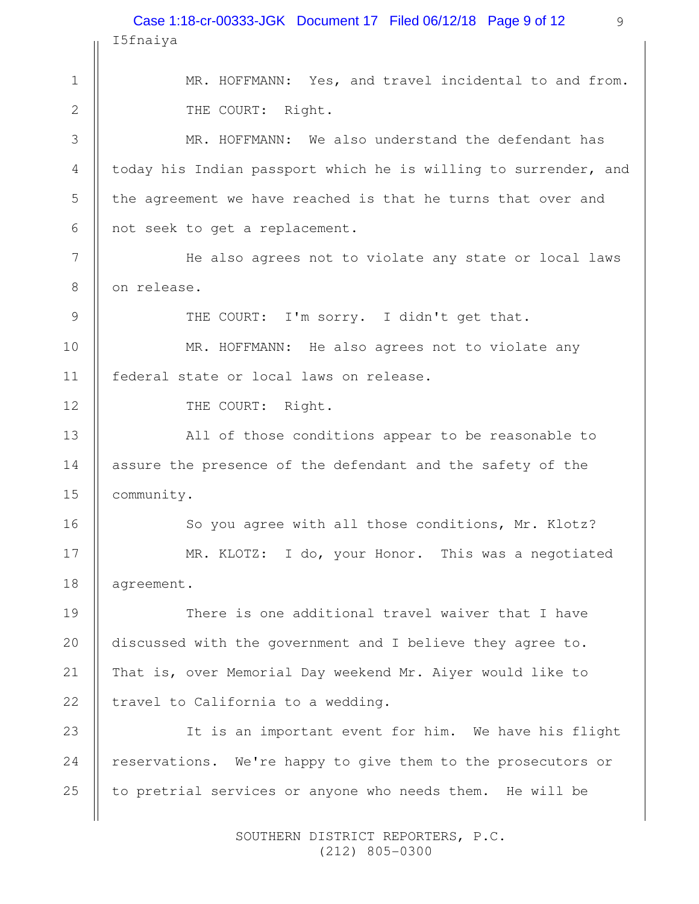|                | Case 1:18-cr-00333-JGK Document 17 Filed 06/12/18 Page 9 of 12<br>9 |  |  |
|----------------|---------------------------------------------------------------------|--|--|
|                | I5fnaiya                                                            |  |  |
| $\mathbf 1$    | MR. HOFFMANN: Yes, and travel incidental to and from.               |  |  |
| $\mathbf{2}$   | THE COURT: Right.                                                   |  |  |
| 3              | MR. HOFFMANN: We also understand the defendant has                  |  |  |
| $\overline{4}$ | today his Indian passport which he is willing to surrender, and     |  |  |
| 5              | the agreement we have reached is that he turns that over and        |  |  |
| 6              | not seek to get a replacement.                                      |  |  |
| 7              | He also agrees not to violate any state or local laws               |  |  |
| 8              | on release.                                                         |  |  |
| $\mathcal{G}$  | THE COURT: I'm sorry. I didn't get that.                            |  |  |
| 10             | MR. HOFFMANN: He also agrees not to violate any                     |  |  |
| 11             | federal state or local laws on release.                             |  |  |
| 12             | THE COURT: Right.                                                   |  |  |
| 13             | All of those conditions appear to be reasonable to                  |  |  |
| 14             | assure the presence of the defendant and the safety of the          |  |  |
| 15             | community.                                                          |  |  |
| 16             | So you agree with all those conditions, Mr. Klotz?                  |  |  |
| 17             | MR. KLOTZ: I do, your Honor. This was a negotiated                  |  |  |
| 18             | agreement.                                                          |  |  |
| 19             | There is one additional travel waiver that I have                   |  |  |
| 20             | discussed with the government and I believe they agree to.          |  |  |
| 21             | That is, over Memorial Day weekend Mr. Aiyer would like to          |  |  |
| 22             | travel to California to a wedding.                                  |  |  |
| 23             | It is an important event for him. We have his flight                |  |  |
| 24             | reservations. We're happy to give them to the prosecutors or        |  |  |
| 25             | to pretrial services or anyone who needs them. He will be           |  |  |
|                |                                                                     |  |  |

 SOUTHERN DISTRICT REPORTERS, P.C. (212) 805-0300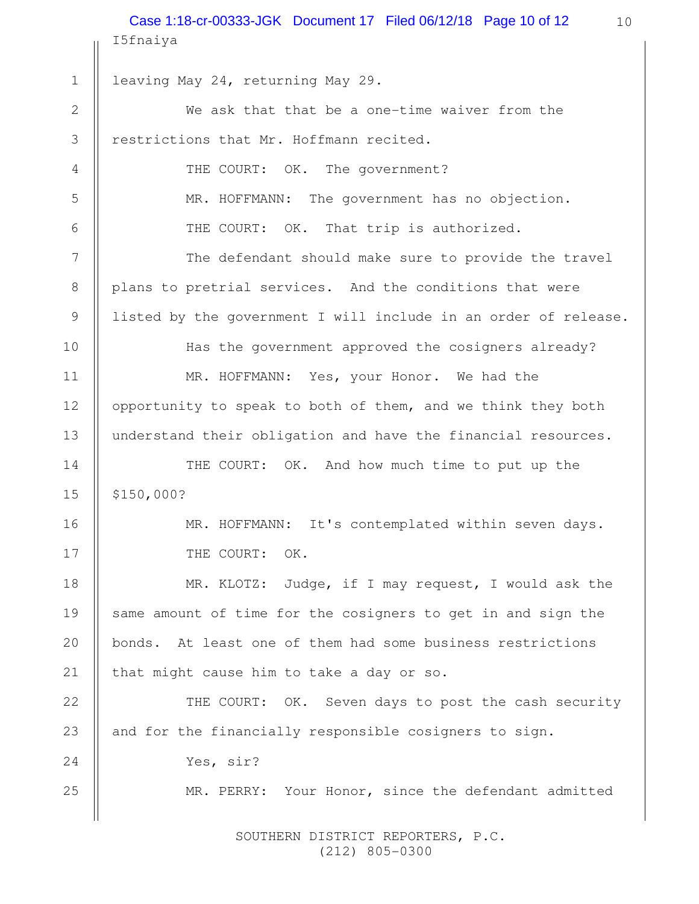10 I5fnaiya leaving May 24, returning May 29. We ask that that be a one-time waiver from the restrictions that Mr. Hoffmann recited. THE COURT: OK. The government? MR. HOFFMANN: The government has no objection. THE COURT: OK. That trip is authorized. The defendant should make sure to provide the travel plans to pretrial services. And the conditions that were listed by the government I will include in an order of release. Has the government approved the cosigners already? MR. HOFFMANN: Yes, your Honor. We had the opportunity to speak to both of them, and we think they both understand their obligation and have the financial resources. THE COURT: OK. And how much time to put up the \$150,000? MR. HOFFMANN: It's contemplated within seven days. THE COURT: OK. MR. KLOTZ: Judge, if I may request, I would ask the same amount of time for the cosigners to get in and sign the bonds. At least one of them had some business restrictions that might cause him to take a day or so. THE COURT: OK. Seven days to post the cash security and for the financially responsible cosigners to sign. Yes, sir? MR. PERRY: Your Honor, since the defendant admitted 1 2 3 4 5 6 7 8 9 10 11 12 13 14 15 16 17 18 19 20 21 22 23 24 25 Case 1:18-cr-00333-JGK Document 17 Filed 06/12/18 Page 10 of 12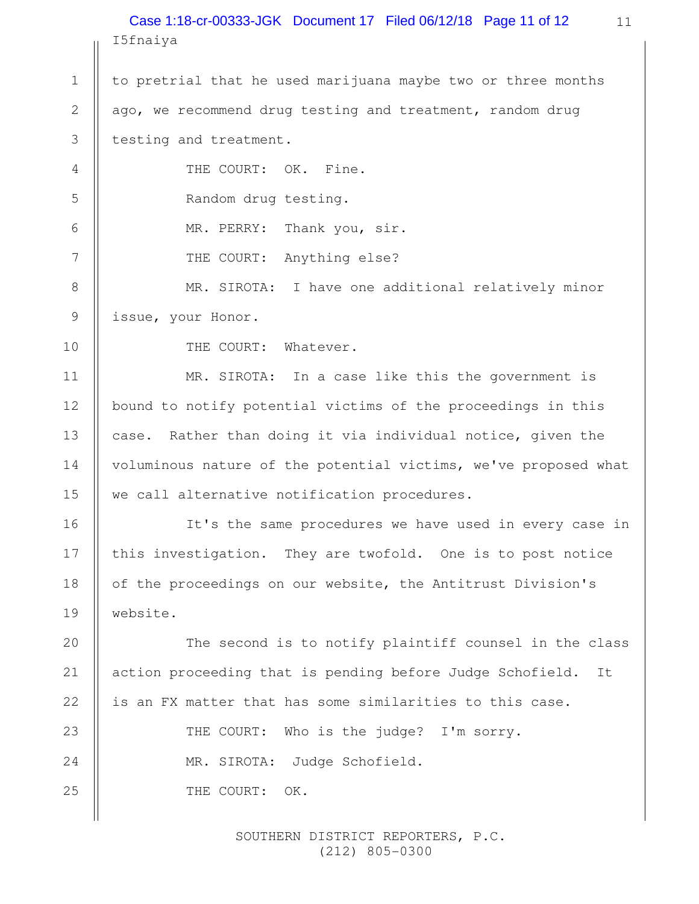I5fnaiya Case 1:18-cr-00333-JGK Document 17 Filed 06/12/18 Page 11 of 12

to pretrial that he used marijuana maybe two or three months ago, we recommend drug testing and treatment, random drug testing and treatment. 1 2 3

THE COURT: OK. Fine. Random drug testing. MR. PERRY: Thank you, sir. THE COURT: Anything else? MR. SIROTA: I have one additional relatively minor issue, your Honor. 4 5 6 7 8 9

10

11

12

13

14

15

16

17

18

19

20

21

22

THE COURT: Whatever.

MR. SIROTA: In a case like this the government is bound to notify potential victims of the proceedings in this case. Rather than doing it via individual notice, given the voluminous nature of the potential victims, we've proposed what we call alternative notification procedures.

It's the same procedures we have used in every case in this investigation. They are twofold. One is to post notice of the proceedings on our website, the Antitrust Division's website.

The second is to notify plaintiff counsel in the class action proceeding that is pending before Judge Schofield. It is an FX matter that has some similarities to this case.

THE COURT: Who is the judge? I'm sorry. MR. SIROTA: Judge Schofield. THE COURT: OK. 23 24 25

> SOUTHERN DISTRICT REPORTERS, P.C. (212) 805-0300